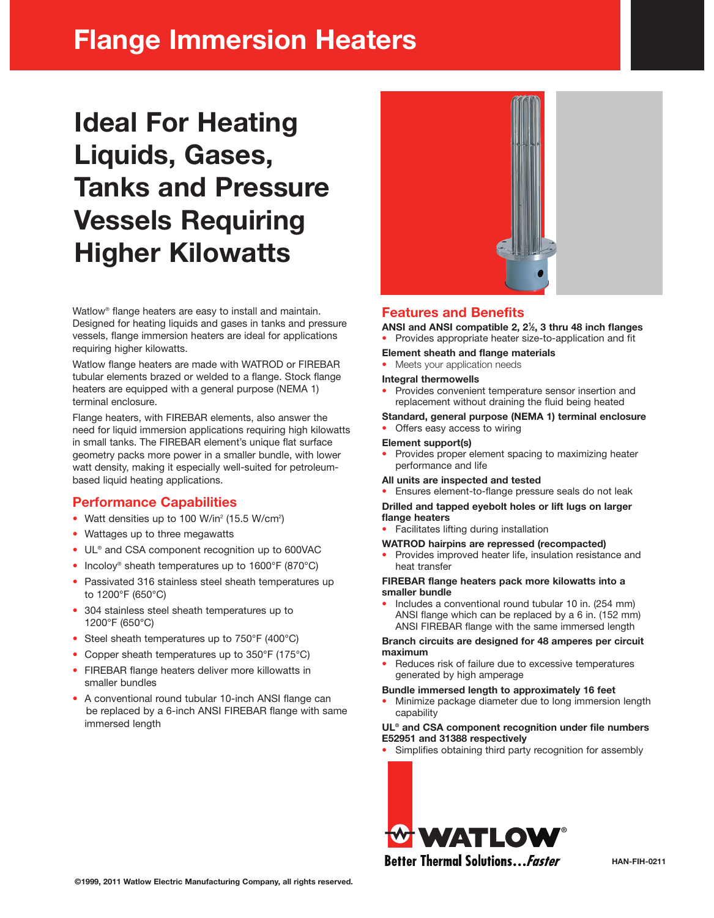## **Flange Immersion Heaters**

# **Ideal For Heating Liquids, Gases, Tanks and Pressure Vessels Requiring Higher Kilowatts**

Watlow® flange heaters are easy to install and maintain. Designed for heating liquids and gases in tanks and pressure vessels, flange immersion heaters are ideal for applications requiring higher kilowatts.

Watlow flange heaters are made with WATROD or FIREBAR tubular elements brazed or welded to a flange. Stock flange heaters are equipped with a general purpose (NEMA 1) terminal enclosure.

Flange heaters, with FIREBAR elements, also answer the need for liquid immersion applications requiring high kilowatts in small tanks. The FIREBAR element's unique flat surface geometry packs more power in a smaller bundle, with lower watt density, making it especially well-suited for petroleumbased liquid heating applications.

### **Performance Capabilities**

- Watt densities up to 100 W/in<sup>2</sup> (15.5 W/cm<sup>2</sup>)
- Wattages up to three megawatts
- UL<sup>®</sup> and CSA component recognition up to 600VAC
- Incoloy<sup>®</sup> sheath temperatures up to 1600°F (870°C)
- Passivated 316 stainless steel sheath temperatures up to 1200°F (650°C)
- 304 stainless steel sheath temperatures up to 1200°F (650°C)
- Steel sheath temperatures up to 750°F (400°C)
- Copper sheath temperatures up to 350°F (175°C)
- FIREBAR flange heaters deliver more killowatts in smaller bundles
- A conventional round tubular 10-inch ANSI flange can be replaced by a 6-inch ANSI FIREBAR flange with same immersed length



### **Features and Benefits**

**ANSI and ANSI compatible 2, 21 ⁄2, 3 thru 48 inch flanges**

• Provides appropriate heater size-to-application and fit

**Element sheath and flange materials**

Meets your application needs

### **Integral thermowells**

- Provides convenient temperature sensor insertion and replacement without draining the fluid being heated
- **Standard, general purpose (NEMA 1) terminal enclosure**
- Offers easy access to wiring

### **Element support(s)**

- Provides proper element spacing to maximizing heater performance and life
- **All units are inspected and tested**
- Ensures element-to-flange pressure seals do not leak

### **Drilled and tapped eyebolt holes or lift lugs on larger flange heaters**

• Facilitates lifting during installation

### **WATROD hairpins are repressed (recompacted)**

• Provides improved heater life, insulation resistance and heat transfer

### **FIREBAR flange heaters pack more kilowatts into a smaller bundle**

• Includes a conventional round tubular 10 in. (254 mm) ANSI flange which can be replaced by a 6 in. (152 mm) ANSI FIREBAR flange with the same immersed length

### **Branch circuits are designed for 48 amperes per circuit maximum**

Reduces risk of failure due to excessive temperatures generated by high amperage

### **Bundle immersed length to approximately 16 feet**

• Minimize package diameter due to long immersion length capability

### **UL® and CSA component recognition under file numbers E52951 and 31388 respectively**

Simplifies obtaining third party recognition for assembly



**Better Thermal Solutions... Faster**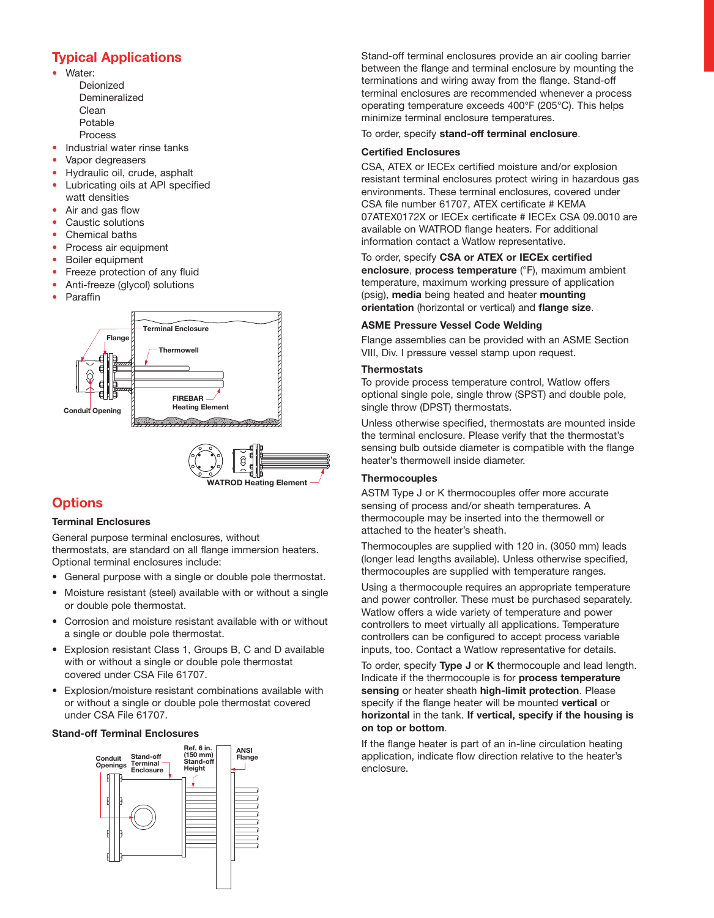### **Typical Applications**

- Water: Deionized Demineralized Clean Potable Process
- Industrial water rinse tanks
- Vapor degreasers
- Hydraulic oil, crude, asphalt
- Lubricating oils at API specified watt densities
- Air and gas flow
- Caustic solutions
- Chemical baths
- Process air equipment
- Boiler equipment
- Freeze protection of any fluid
- Anti-freeze (glycol) solutions
- Paraffin



### **Options**

### **Terminal Enclosures**

General purpose terminal enclosures, without thermostats, are standard on all flange immersion heaters. Optional terminal enclosures include:

- General purpose with a single or double pole thermostat.
- Moisture resistant (steel) available with or without a single or double pole thermostat.
- Corrosion and moisture resistant available with or without a single or double pole thermostat.
- Explosion resistant Class 1, Groups B, C and D available with or without a single or double pole thermostat covered under CSA File 61707.
- Explosion/moisture resistant combinations available with or without a single or double pole thermostat covered under CSA File 61707.

### **Stand-off Terminal Enclosures**



Stand-off terminal enclosures provide an air cooling barrier between the flange and terminal enclosure by mounting the terminations and wiring away from the flange. Stand-off terminal enclosures are recommended whenever a process operating temperature exceeds 400°F (205°C). This helps minimize terminal enclosure temperatures.

### To order, specify **stand-off terminal enclosure**.

### **Certified Enclosures**

CSA, ATEX or IECEx certified moisture and/or explosion resistant terminal enclosures protect wiring in hazardous gas environments. These terminal enclosures, covered under CSA file number 61707, ATEX certificate # KEMA 07ATEX0172X or IECEx certificate # IECEx CSA 09.0010 are available on WATROD flange heaters. For additional information contact a Watlow representative.

To order, specify **CSA or ATEX or IECEx certified enclosure**, **process temperature** (°F), maximum ambient temperature, maximum working pressure of application (psig), **media** being heated and heater **mounting orientation** (horizontal or vertical) and **flange size**.

### **ASME Pressure Vessel Code Welding**

Flange assemblies can be provided with an ASME Section VIII, Div. I pressure vessel stamp upon request.

### **Thermostats**

To provide process temperature control, Watlow offers optional single pole, single throw (SPST) and double pole, single throw (DPST) thermostats.

Unless otherwise specified, thermostats are mounted inside the terminal enclosure. Please verify that the thermostat's sensing bulb outside diameter is compatible with the flange heater's thermowell inside diameter.

### **Thermocouples**

ASTM Type J or K thermocouples offer more accurate sensing of process and/or sheath temperatures. A thermocouple may be inserted into the thermowell or attached to the heater's sheath.

Thermocouples are supplied with 120 in. (3050 mm) leads (longer lead lengths available). Unless otherwise specified, thermocouples are supplied with temperature ranges.

Using a thermocouple requires an appropriate temperature and power controller. These must be purchased separately. Watlow offers a wide variety of temperature and power controllers to meet virtually all applications. Temperature controllers can be configured to accept process variable inputs, too. Contact a Watlow representative for details.

To order, specify **Type J** or **K** thermocouple and lead length. Indicate if the thermocouple is for **process temperature sensing** or heater sheath **high-limit protection**. Please specify if the flange heater will be mounted **vertical** or **horizontal** in the tank. **If vertical, specify if the housing is on top or bottom**.

If the flange heater is part of an in-line circulation heating application, indicate flow direction relative to the heater's enclosure.